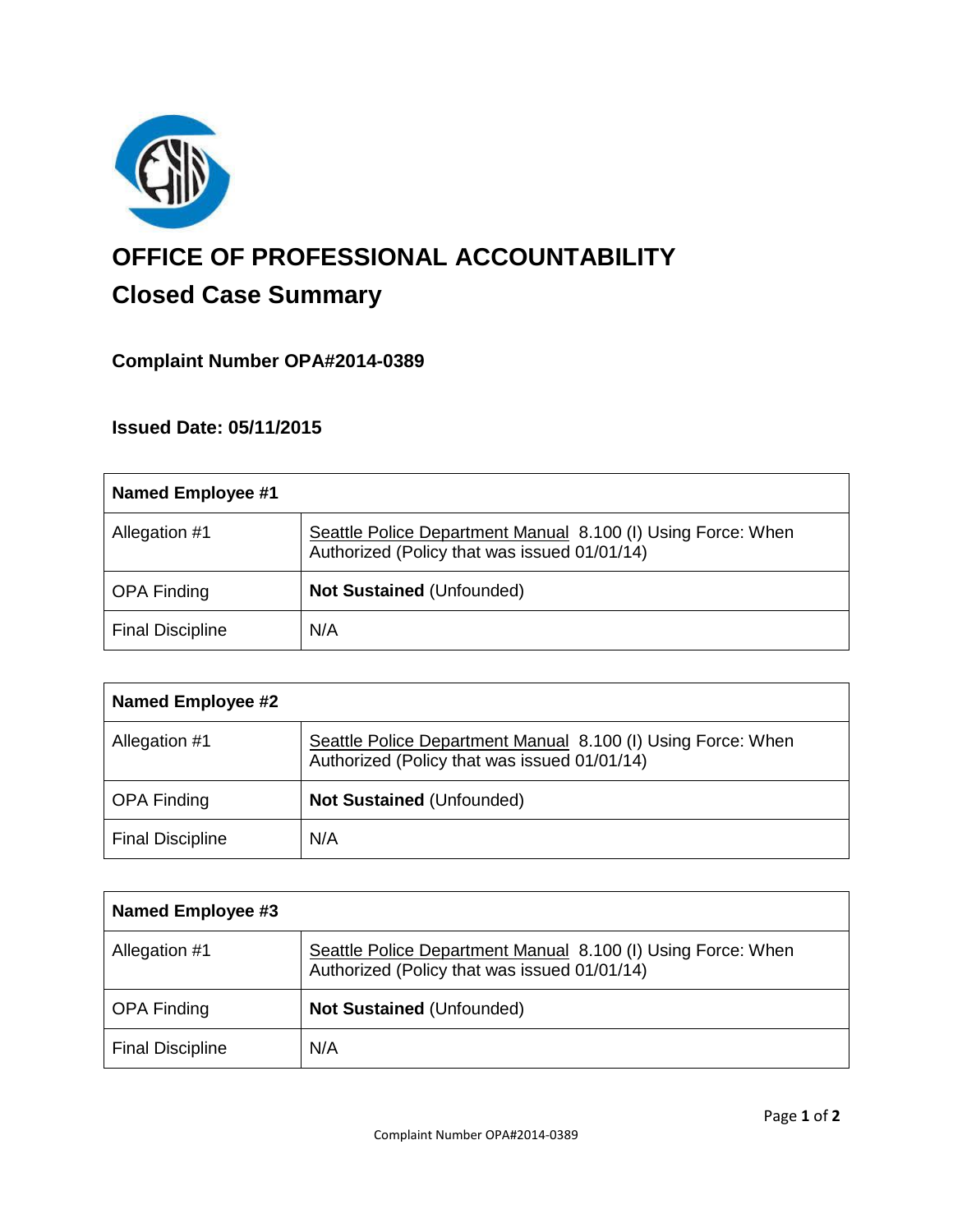

# **OFFICE OF PROFESSIONAL ACCOUNTABILITY Closed Case Summary**

# **Complaint Number OPA#2014-0389**

## **Issued Date: 05/11/2015**

| <b>Named Employee #1</b> |                                                                                                              |
|--------------------------|--------------------------------------------------------------------------------------------------------------|
| Allegation #1            | Seattle Police Department Manual 8.100 (I) Using Force: When<br>Authorized (Policy that was issued 01/01/14) |
| <b>OPA Finding</b>       | <b>Not Sustained (Unfounded)</b>                                                                             |
| <b>Final Discipline</b>  | N/A                                                                                                          |

| <b>Named Employee #2</b> |                                                                                                              |
|--------------------------|--------------------------------------------------------------------------------------------------------------|
| Allegation #1            | Seattle Police Department Manual 8.100 (I) Using Force: When<br>Authorized (Policy that was issued 01/01/14) |
| <b>OPA Finding</b>       | <b>Not Sustained (Unfounded)</b>                                                                             |
| <b>Final Discipline</b>  | N/A                                                                                                          |

| <b>Named Employee #3</b> |                                                                                                              |
|--------------------------|--------------------------------------------------------------------------------------------------------------|
| Allegation #1            | Seattle Police Department Manual 8.100 (I) Using Force: When<br>Authorized (Policy that was issued 01/01/14) |
| <b>OPA Finding</b>       | <b>Not Sustained (Unfounded)</b>                                                                             |
| <b>Final Discipline</b>  | N/A                                                                                                          |